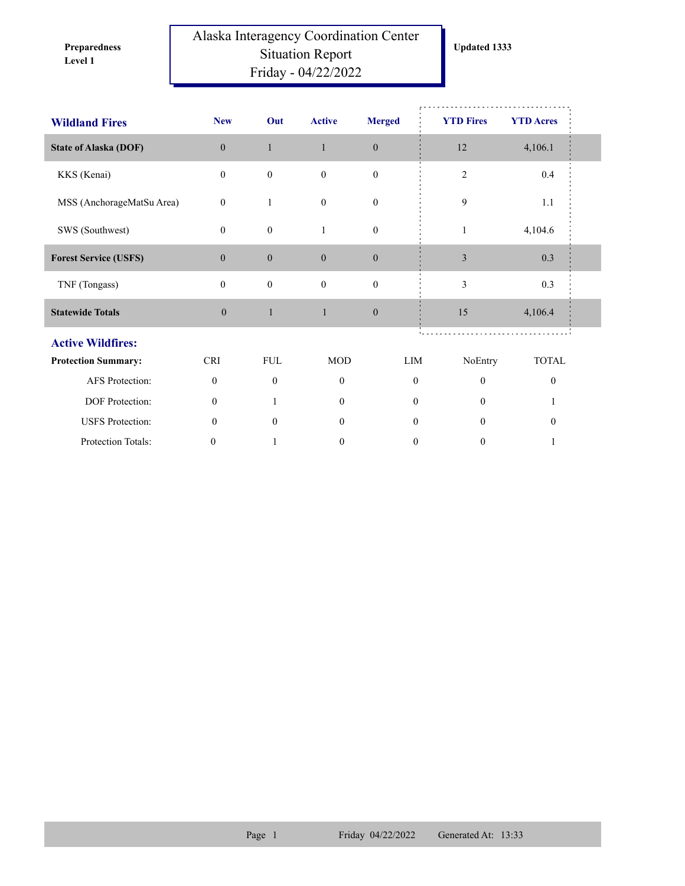**Level 1 Preparedness** 

## Alaska Interagency Coordination Center Situation Report Friday - 04/22/2022

| <b>Wildland Fires</b>        | <b>New</b>       | Out              | <b>Active</b>                | <b>Merged</b>    | <b>YTD Fires</b> | <b>YTD Acres</b> |  |  |
|------------------------------|------------------|------------------|------------------------------|------------------|------------------|------------------|--|--|
| <b>State of Alaska (DOF)</b> | $\mathbf{0}$     | $\mathbf{1}$     | $\mathbf{1}$                 | $\mathbf{0}$     | 12               | 4,106.1          |  |  |
| KKS (Kenai)                  | $\mathbf{0}$     | $\boldsymbol{0}$ | $\mathbf{0}$                 | $\boldsymbol{0}$ | 2                | $0.4\,$          |  |  |
| MSS (AnchorageMatSu Area)    | $\boldsymbol{0}$ | 1                | $\boldsymbol{0}$             | $\boldsymbol{0}$ | 9                | 1.1              |  |  |
| SWS (Southwest)              | $\mathbf{0}$     | $\mathbf{0}$     | $\mathbf{1}$                 | $\boldsymbol{0}$ | $\mathbf{1}$     | 4,104.6          |  |  |
| <b>Forest Service (USFS)</b> | $\mathbf{0}$     | $\boldsymbol{0}$ | $\mathbf{0}$                 | $\boldsymbol{0}$ | $\mathfrak{Z}$   | 0.3              |  |  |
| TNF (Tongass)                | $\mathbf{0}$     | $\boldsymbol{0}$ | $\mathbf{0}$                 | $\boldsymbol{0}$ | 3                | 0.3              |  |  |
| <b>Statewide Totals</b>      | $\boldsymbol{0}$ | $\mathbf{1}$     | $\mathbf{1}$<br>$\mathbf{0}$ |                  | 15               | 4,106.4          |  |  |
| <b>Active Wildfires:</b>     |                  |                  |                              |                  |                  |                  |  |  |
| <b>Protection Summary:</b>   | <b>CRI</b>       | <b>FUL</b>       | <b>MOD</b>                   | LIM              | NoEntry          | <b>TOTAL</b>     |  |  |
| AFS Protection:              | $\mathbf{0}$     | $\theta$         | $\mathbf{0}$                 | $\theta$         | $\theta$         | $\boldsymbol{0}$ |  |  |
| DOF Protection:              | $\mathbf{0}$     |                  | $\theta$                     | $\theta$         | $\Omega$         |                  |  |  |
| <b>USFS</b> Protection:      | $\mathbf{0}$     | $\mathbf{0}$     | $\overline{0}$               | $\mathbf{0}$     | $\theta$         | $\boldsymbol{0}$ |  |  |
| Protection Totals:           | 0                |                  | $\boldsymbol{0}$             | $\boldsymbol{0}$ | $\boldsymbol{0}$ |                  |  |  |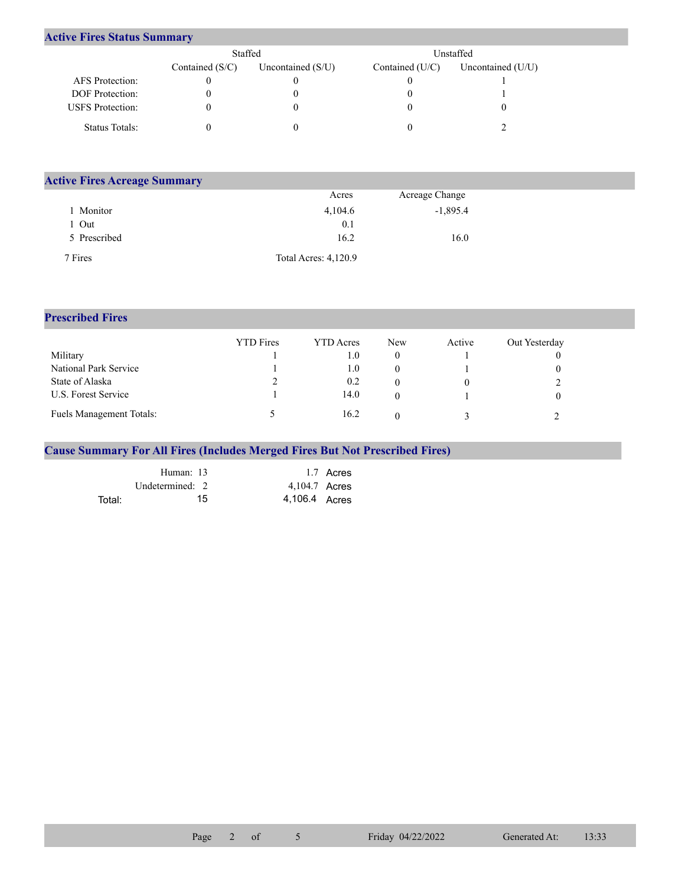## **Active Fires Status Summary**

|                         | Staffed           |                     | Unstaffed.      |                     |  |  |
|-------------------------|-------------------|---------------------|-----------------|---------------------|--|--|
|                         | Contained $(S/C)$ | Uncontained $(S/U)$ | Contained (U/C) | Uncontained $(U/U)$ |  |  |
| <b>AFS</b> Protection:  |                   |                     |                 |                     |  |  |
| <b>DOF</b> Protection:  |                   |                     |                 |                     |  |  |
| <b>USFS</b> Protection: |                   |                     |                 |                     |  |  |
| Status Totals:          |                   |                     |                 |                     |  |  |

| <b>Active Fires Acreage Summary</b> |                      |                |  |  |  |  |  |
|-------------------------------------|----------------------|----------------|--|--|--|--|--|
|                                     | Acres                | Acreage Change |  |  |  |  |  |
| Monitor                             | 4,104.6              | $-1,895.4$     |  |  |  |  |  |
| . Out                               | 0.1                  |                |  |  |  |  |  |
| 5 Prescribed                        | 16.2                 | 16.0           |  |  |  |  |  |
| 7 Fires                             | Total Acres: 4,120.9 |                |  |  |  |  |  |

## **Prescribed Fires**

|                                 | <b>YTD</b> Fires | <b>YTD</b> Acres | <b>New</b> | Active | Out Yesterday |
|---------------------------------|------------------|------------------|------------|--------|---------------|
| Military                        |                  | 0.1              |            |        |               |
| National Park Service           |                  | $1.0\,$          |            |        |               |
| State of Alaska                 |                  | 0.2              |            |        |               |
| U.S. Forest Service             |                  | 14.0             |            |        |               |
| <b>Fuels Management Totals:</b> |                  | 16.2             |            |        |               |

## **Cause Summary For All Fires (Includes Merged Fires But Not Prescribed Fires)**

|        | Human: 13         | 1.7 Acres     |
|--------|-------------------|---------------|
|        | Undetermined: $2$ | 4,104.7 Acres |
| Total: | 15                | 4,106.4 Acres |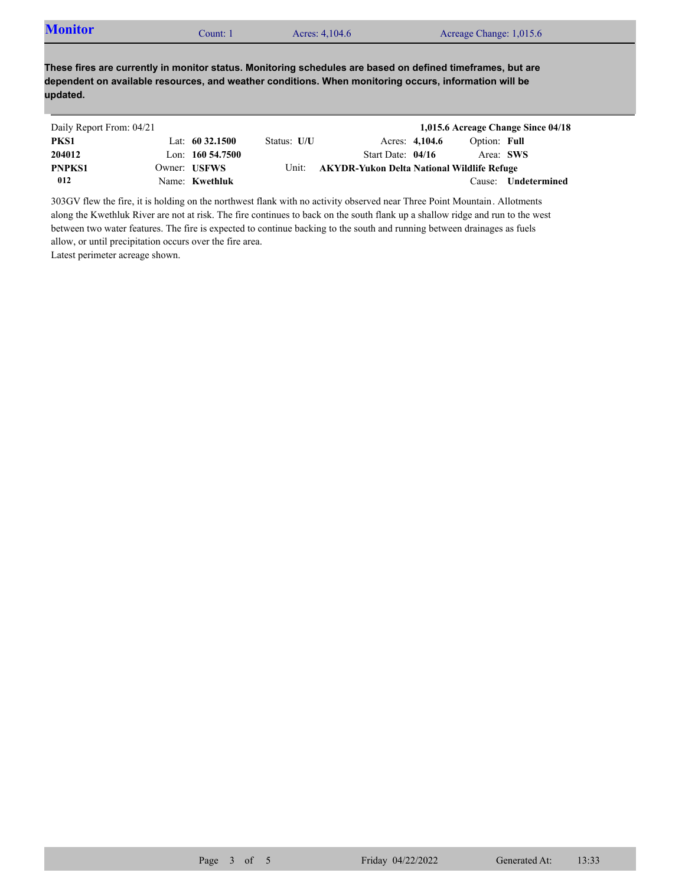| <b>Monitor</b><br>Count: 1 | Acres: 4,104.6 | Acreage Change: 1,015.6 |  |
|----------------------------|----------------|-------------------------|--|
|----------------------------|----------------|-------------------------|--|

**These fires are currently in monitor status. Monitoring schedules are based on defined timeframes, but are dependent on available resources, and weather conditions. When monitoring occurs, information will be updated.**

| Daily Report From: 04/21 |                     |             |                                            |                |              | 1,015.6 Acreage Change Since 04/18 |
|--------------------------|---------------------|-------------|--------------------------------------------|----------------|--------------|------------------------------------|
| PKS1                     | Lat: $60\,32.1500$  | Status: U/U |                                            | Acres: 4,104.6 | Option: Full |                                    |
| 204012                   | Lon: $160\,54.7500$ |             | Start Date: $04/16$                        |                | Area: SWS    |                                    |
| PNPKS1                   | Owner: USFWS        | Unit:       | AKYDR-Yukon Delta National Wildlife Refuge |                |              |                                    |
| 012                      | Name: Kwethluk      |             |                                            |                | Cause:       | Undetermined                       |

303GV flew the fire, it is holding on the northwest flank with no activity observed near Three Point Mountain. Allotments along the Kwethluk River are not at risk. The fire continues to back on the south flank up a shallow ridge and run to the west between two water features. The fire is expected to continue backing to the south and running between drainages as fuels allow, or until precipitation occurs over the fire area.

Latest perimeter acreage shown.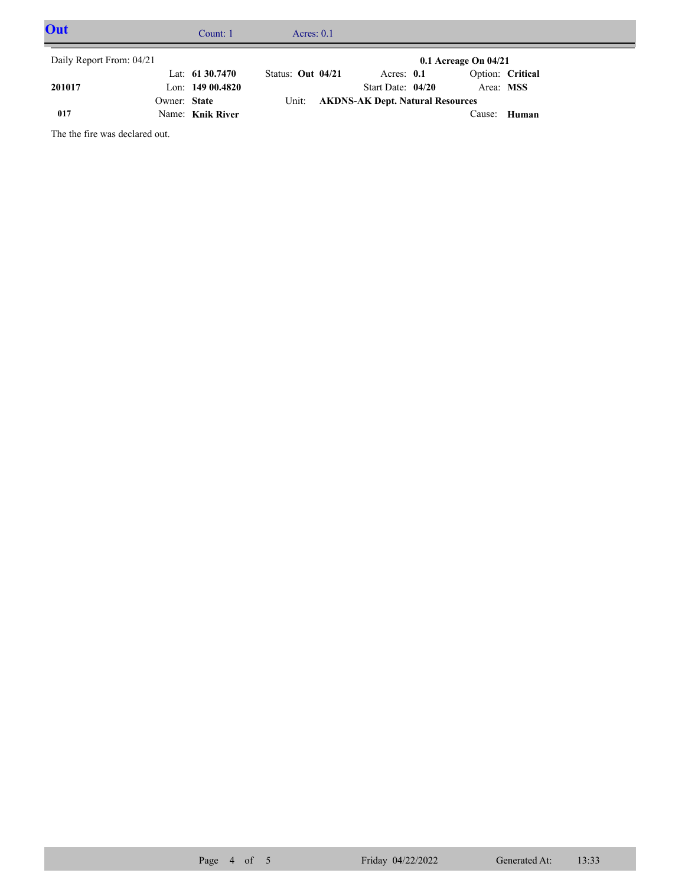| Out                      |              | Count: 1           |                   | Acres: $0.1$ |                                        |                          |                  |  |
|--------------------------|--------------|--------------------|-------------------|--------------|----------------------------------------|--------------------------|------------------|--|
| Daily Report From: 04/21 |              |                    |                   |              |                                        | $0.1$ Acreage On $04/21$ |                  |  |
|                          |              | Lat: $61\,30.7470$ | Status: Out 04/21 |              | Acres: $0.1$                           |                          | Option: Critical |  |
| 201017                   |              | Lon: $14900.4820$  |                   |              | Start Date: $04/20$                    | Area: MSS                |                  |  |
|                          | Owner: State |                    |                   |              | Unit: AKDNS-AK Dept. Natural Resources |                          |                  |  |
| 017                      |              | Name: Knik River   |                   |              |                                        |                          | Cause: Human     |  |

The the fire was declared out.